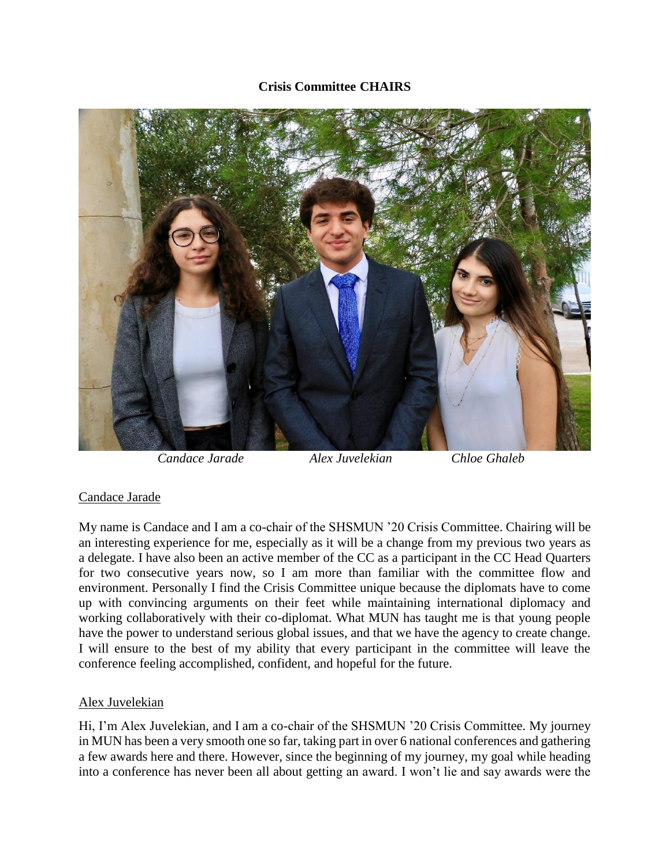## **Crisis Committee CHAIRS**



## Candace Jarade

My name is Candace and I am a co-chair of the SHSMUN '20 Crisis Committee. Chairing will be an interesting experience for me, especially as it will be a change from my previous two years as a delegate. I have also been an active member of the CC as a participant in the CC Head Quarters for two consecutive years now, so I am more than familiar with the committee flow and environment. Personally I find the Crisis Committee unique because the diplomats have to come up with convincing arguments on their feet while maintaining international diplomacy and working collaboratively with their co-diplomat. What MUN has taught me is that young people have the power to understand serious global issues, and that we have the agency to create change. I will ensure to the best of my ability that every participant in the committee will leave the conference feeling accomplished, confident, and hopeful for the future.

## Alex Juvelekian

Hi, I'm Alex Juvelekian, and I am a co-chair of the SHSMUN '20 Crisis Committee. My journey in MUN has been a very smooth one so far, taking part in over 6 national conferences and gathering a few awards here and there. However, since the beginning of my journey, my goal while heading into a conference has never been all about getting an award. I won't lie and say awards were the